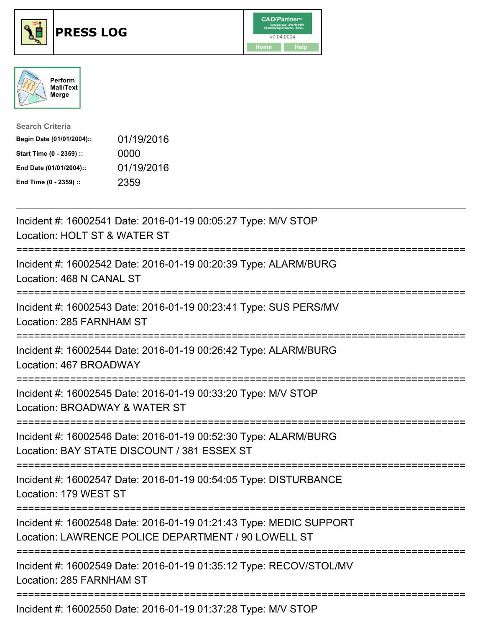





| <b>Search Criteria</b>    |            |
|---------------------------|------------|
| Begin Date (01/01/2004):: | 01/19/2016 |
| Start Time (0 - 2359) ::  | 0000       |
| End Date (01/01/2004)::   | 01/19/2016 |
| End Time (0 - 2359) ::    | 2359       |

| Incident #: 16002541 Date: 2016-01-19 00:05:27 Type: M/V STOP<br>Location: HOLT ST & WATER ST                                            |
|------------------------------------------------------------------------------------------------------------------------------------------|
| Incident #: 16002542 Date: 2016-01-19 00:20:39 Type: ALARM/BURG<br>Location: 468 N CANAL ST                                              |
| Incident #: 16002543 Date: 2016-01-19 00:23:41 Type: SUS PERS/MV<br>Location: 285 FARNHAM ST                                             |
| =================<br>Incident #: 16002544 Date: 2016-01-19 00:26:42 Type: ALARM/BURG<br>Location: 467 BROADWAY                           |
| Incident #: 16002545 Date: 2016-01-19 00:33:20 Type: M/V STOP<br>Location: BROADWAY & WATER ST                                           |
| ---------------------<br>Incident #: 16002546 Date: 2016-01-19 00:52:30 Type: ALARM/BURG<br>Location: BAY STATE DISCOUNT / 381 ESSEX ST  |
| ------------------------<br>Incident #: 16002547 Date: 2016-01-19 00:54:05 Type: DISTURBANCE<br>Location: 179 WEST ST                    |
| Incident #: 16002548 Date: 2016-01-19 01:21:43 Type: MEDIC SUPPORT<br>Location: LAWRENCE POLICE DEPARTMENT / 90 LOWELL ST                |
| --------------------------------------<br>Incident #: 16002549 Date: 2016-01-19 01:35:12 Type: RECOV/STOL/MV<br>Location: 285 FARNHAM ST |
| Incident #: 16002550 Date: 2016-01-19 01:37:28 Type: M/V STOP                                                                            |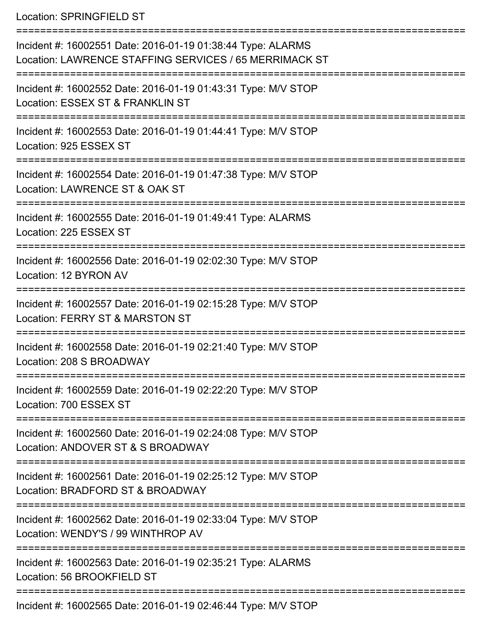Location: SPRINGFIELD ST

| Incident #: 16002551 Date: 2016-01-19 01:38:44 Type: ALARMS<br>Location: LAWRENCE STAFFING SERVICES / 65 MERRIMACK ST |
|-----------------------------------------------------------------------------------------------------------------------|
| Incident #: 16002552 Date: 2016-01-19 01:43:31 Type: M/V STOP<br>Location: ESSEX ST & FRANKLIN ST                     |
| Incident #: 16002553 Date: 2016-01-19 01:44:41 Type: M/V STOP<br>Location: 925 ESSEX ST                               |
| Incident #: 16002554 Date: 2016-01-19 01:47:38 Type: M/V STOP<br>Location: LAWRENCE ST & OAK ST                       |
| Incident #: 16002555 Date: 2016-01-19 01:49:41 Type: ALARMS<br>Location: 225 ESSEX ST                                 |
| Incident #: 16002556 Date: 2016-01-19 02:02:30 Type: M/V STOP<br>Location: 12 BYRON AV                                |
| Incident #: 16002557 Date: 2016-01-19 02:15:28 Type: M/V STOP<br>Location: FERRY ST & MARSTON ST                      |
| Incident #: 16002558 Date: 2016-01-19 02:21:40 Type: M/V STOP<br>Location: 208 S BROADWAY                             |
| Incident #: 16002559 Date: 2016-01-19 02:22:20 Type: M/V STOP<br>Location: 700 ESSEX ST                               |
| Incident #: 16002560 Date: 2016-01-19 02:24:08 Type: M/V STOP<br>Location: ANDOVER ST & S BROADWAY                    |
| Incident #: 16002561 Date: 2016-01-19 02:25:12 Type: M/V STOP<br>Location: BRADFORD ST & BROADWAY                     |
| Incident #: 16002562 Date: 2016-01-19 02:33:04 Type: M/V STOP<br>Location: WENDY'S / 99 WINTHROP AV                   |
| Incident #: 16002563 Date: 2016-01-19 02:35:21 Type: ALARMS<br>Location: 56 BROOKFIELD ST                             |
|                                                                                                                       |

Incident #: 16002565 Date: 2016-01-19 02:46:44 Type: M/V STOP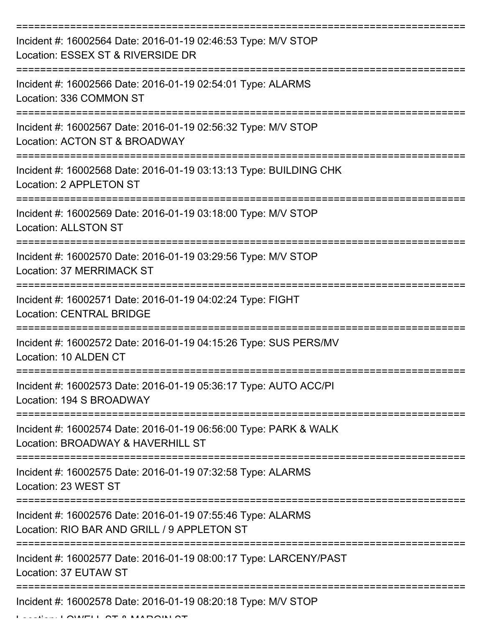| Incident #: 16002564 Date: 2016-01-19 02:46:53 Type: M/V STOP<br>Location: ESSEX ST & RIVERSIDE DR         |
|------------------------------------------------------------------------------------------------------------|
| Incident #: 16002566 Date: 2016-01-19 02:54:01 Type: ALARMS<br>Location: 336 COMMON ST                     |
| Incident #: 16002567 Date: 2016-01-19 02:56:32 Type: M/V STOP<br>Location: ACTON ST & BROADWAY             |
| Incident #: 16002568 Date: 2016-01-19 03:13:13 Type: BUILDING CHK<br>Location: 2 APPLETON ST               |
| Incident #: 16002569 Date: 2016-01-19 03:18:00 Type: M/V STOP<br><b>Location: ALLSTON ST</b>               |
| Incident #: 16002570 Date: 2016-01-19 03:29:56 Type: M/V STOP<br><b>Location: 37 MERRIMACK ST</b>          |
| Incident #: 16002571 Date: 2016-01-19 04:02:24 Type: FIGHT<br><b>Location: CENTRAL BRIDGE</b>              |
| Incident #: 16002572 Date: 2016-01-19 04:15:26 Type: SUS PERS/MV<br>Location: 10 ALDEN CT                  |
| Incident #: 16002573 Date: 2016-01-19 05:36:17 Type: AUTO ACC/PI<br>Location: 194 S BROADWAY               |
| Incident #: 16002574 Date: 2016-01-19 06:56:00 Type: PARK & WALK<br>Location: BROADWAY & HAVERHILL ST      |
| Incident #: 16002575 Date: 2016-01-19 07:32:58 Type: ALARMS<br>Location: 23 WEST ST                        |
| Incident #: 16002576 Date: 2016-01-19 07:55:46 Type: ALARMS<br>Location: RIO BAR AND GRILL / 9 APPLETON ST |
| Incident #: 16002577 Date: 2016-01-19 08:00:17 Type: LARCENY/PAST<br>Location: 37 EUTAW ST                 |
| Incident #: 16002578 Date: 2016-01-19 08:20:18 Type: M/V STOP                                              |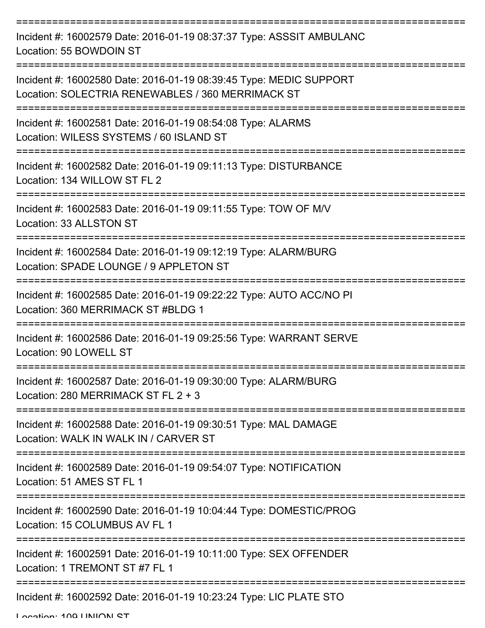| Incident #: 16002579 Date: 2016-01-19 08:37:37 Type: ASSSIT AMBULANC<br>Location: 55 BOWDOIN ST                         |
|-------------------------------------------------------------------------------------------------------------------------|
| Incident #: 16002580 Date: 2016-01-19 08:39:45 Type: MEDIC SUPPORT<br>Location: SOLECTRIA RENEWABLES / 360 MERRIMACK ST |
| Incident #: 16002581 Date: 2016-01-19 08:54:08 Type: ALARMS<br>Location: WILESS SYSTEMS / 60 ISLAND ST                  |
| Incident #: 16002582 Date: 2016-01-19 09:11:13 Type: DISTURBANCE<br>Location: 134 WILLOW ST FL 2                        |
| Incident #: 16002583 Date: 2016-01-19 09:11:55 Type: TOW OF M/V<br>Location: 33 ALLSTON ST                              |
| Incident #: 16002584 Date: 2016-01-19 09:12:19 Type: ALARM/BURG<br>Location: SPADE LOUNGE / 9 APPLETON ST               |
| Incident #: 16002585 Date: 2016-01-19 09:22:22 Type: AUTO ACC/NO PI<br>Location: 360 MERRIMACK ST #BLDG 1               |
| Incident #: 16002586 Date: 2016-01-19 09:25:56 Type: WARRANT SERVE<br>Location: 90 LOWELL ST                            |
| Incident #: 16002587 Date: 2016-01-19 09:30:00 Type: ALARM/BURG<br>Location: 280 MERRIMACK ST FL 2 + 3                  |
| Incident #: 16002588 Date: 2016-01-19 09:30:51 Type: MAL DAMAGE<br>Location: WALK IN WALK IN / CARVER ST                |
| Incident #: 16002589 Date: 2016-01-19 09:54:07 Type: NOTIFICATION<br>Location: 51 AMES ST FL 1                          |
| Incident #: 16002590 Date: 2016-01-19 10:04:44 Type: DOMESTIC/PROG<br>Location: 15 COLUMBUS AV FL 1                     |
| Incident #: 16002591 Date: 2016-01-19 10:11:00 Type: SEX OFFENDER<br>Location: 1 TREMONT ST #7 FL 1                     |
| ______________________________________<br>Incident #: 16002592 Date: 2016-01-19 10:23:24 Type: LIC PLATE STO            |

Location: 100 UNION ST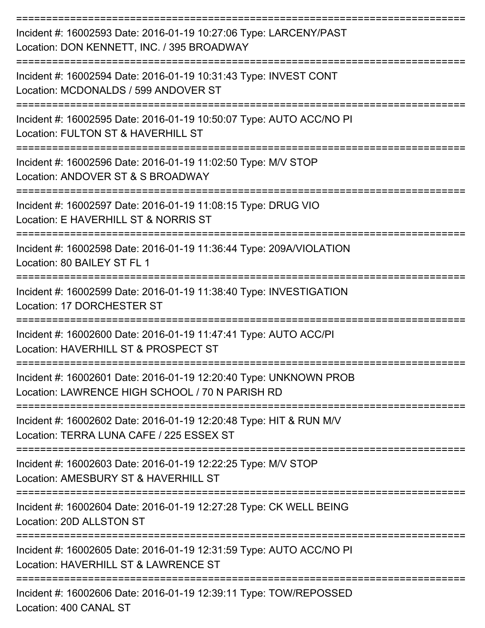| Incident #: 16002593 Date: 2016-01-19 10:27:06 Type: LARCENY/PAST<br>Location: DON KENNETT, INC. / 395 BROADWAY<br>-------------------------- |
|-----------------------------------------------------------------------------------------------------------------------------------------------|
| Incident #: 16002594 Date: 2016-01-19 10:31:43 Type: INVEST CONT<br>Location: MCDONALDS / 599 ANDOVER ST                                      |
| Incident #: 16002595 Date: 2016-01-19 10:50:07 Type: AUTO ACC/NO PI<br>Location: FULTON ST & HAVERHILL ST                                     |
| Incident #: 16002596 Date: 2016-01-19 11:02:50 Type: M/V STOP<br>Location: ANDOVER ST & S BROADWAY                                            |
| Incident #: 16002597 Date: 2016-01-19 11:08:15 Type: DRUG VIO<br>Location: E HAVERHILL ST & NORRIS ST                                         |
| Incident #: 16002598 Date: 2016-01-19 11:36:44 Type: 209A/VIOLATION<br>Location: 80 BAILEY ST FL 1                                            |
| Incident #: 16002599 Date: 2016-01-19 11:38:40 Type: INVESTIGATION<br>Location: 17 DORCHESTER ST                                              |
| Incident #: 16002600 Date: 2016-01-19 11:47:41 Type: AUTO ACC/PI<br>Location: HAVERHILL ST & PROSPECT ST                                      |
| Incident #: 16002601 Date: 2016-01-19 12:20:40 Type: UNKNOWN PROB<br>Location: LAWRENCE HIGH SCHOOL / 70 N PARISH RD                          |
| Incident #: 16002602 Date: 2016-01-19 12:20:48 Type: HIT & RUN M/V<br>Location: TERRA LUNA CAFE / 225 ESSEX ST                                |
| Incident #: 16002603 Date: 2016-01-19 12:22:25 Type: M/V STOP<br>Location: AMESBURY ST & HAVERHILL ST                                         |
| Incident #: 16002604 Date: 2016-01-19 12:27:28 Type: CK WELL BEING<br>Location: 20D ALLSTON ST                                                |
| Incident #: 16002605 Date: 2016-01-19 12:31:59 Type: AUTO ACC/NO PI<br>Location: HAVERHILL ST & LAWRENCE ST                                   |
| Incident #: 16002606 Date: 2016-01-19 12:39:11 Type: TOW/REPOSSED                                                                             |

Location: 400 CANAL ST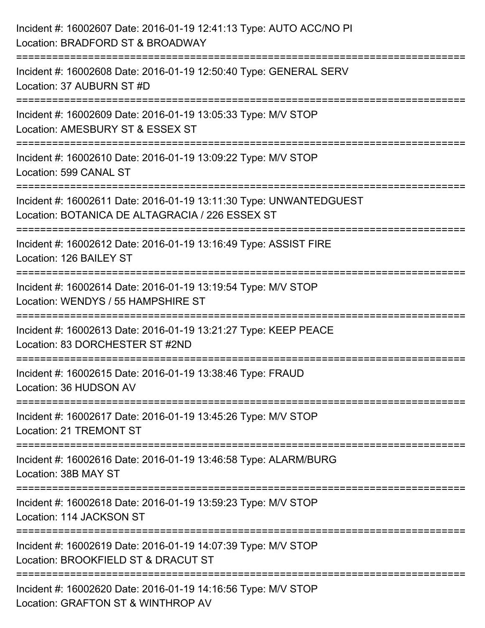| Incident #: 16002607 Date: 2016-01-19 12:41:13 Type: AUTO ACC/NO PI<br>Location: BRADFORD ST & BROADWAY                                    |
|--------------------------------------------------------------------------------------------------------------------------------------------|
| =======================<br>=============<br>Incident #: 16002608 Date: 2016-01-19 12:50:40 Type: GENERAL SERV<br>Location: 37 AUBURN ST #D |
| Incident #: 16002609 Date: 2016-01-19 13:05:33 Type: M/V STOP<br>Location: AMESBURY ST & ESSEX ST                                          |
| Incident #: 16002610 Date: 2016-01-19 13:09:22 Type: M/V STOP<br>Location: 599 CANAL ST                                                    |
| Incident #: 16002611 Date: 2016-01-19 13:11:30 Type: UNWANTEDGUEST<br>Location: BOTANICA DE ALTAGRACIA / 226 ESSEX ST                      |
| Incident #: 16002612 Date: 2016-01-19 13:16:49 Type: ASSIST FIRE<br>Location: 126 BAILEY ST                                                |
| Incident #: 16002614 Date: 2016-01-19 13:19:54 Type: M/V STOP<br>Location: WENDYS / 55 HAMPSHIRE ST                                        |
| Incident #: 16002613 Date: 2016-01-19 13:21:27 Type: KEEP PEACE<br>Location: 83 DORCHESTER ST #2ND                                         |
| Incident #: 16002615 Date: 2016-01-19 13:38:46 Type: FRAUD<br>Location: 36 HUDSON AV                                                       |
| Incident #: 16002617 Date: 2016-01-19 13:45:26 Type: M/V STOP<br>Location: 21 TREMONT ST                                                   |
| Incident #: 16002616 Date: 2016-01-19 13:46:58 Type: ALARM/BURG<br>Location: 38B MAY ST                                                    |
| Incident #: 16002618 Date: 2016-01-19 13:59:23 Type: M/V STOP<br>Location: 114 JACKSON ST                                                  |
| Incident #: 16002619 Date: 2016-01-19 14:07:39 Type: M/V STOP<br>Location: BROOKFIELD ST & DRACUT ST                                       |
| Incident #: 16002620 Date: 2016-01-19 14:16:56 Type: M/V STOP<br>Location: GRAFTON ST & WINTHROP AV                                        |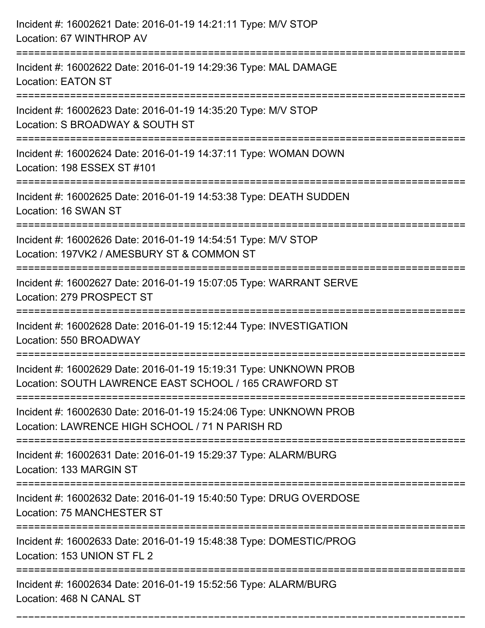| Incident #: 16002621 Date: 2016-01-19 14:21:11 Type: M/V STOP<br>Location: 67 WINTHROP AV                                       |
|---------------------------------------------------------------------------------------------------------------------------------|
| Incident #: 16002622 Date: 2016-01-19 14:29:36 Type: MAL DAMAGE<br><b>Location: EATON ST</b>                                    |
| Incident #: 16002623 Date: 2016-01-19 14:35:20 Type: M/V STOP<br>Location: S BROADWAY & SOUTH ST<br>:========================== |
| Incident #: 16002624 Date: 2016-01-19 14:37:11 Type: WOMAN DOWN<br>Location: 198 ESSEX ST #101                                  |
| Incident #: 16002625 Date: 2016-01-19 14:53:38 Type: DEATH SUDDEN<br>Location: 16 SWAN ST                                       |
| Incident #: 16002626 Date: 2016-01-19 14:54:51 Type: M/V STOP<br>Location: 197VK2 / AMESBURY ST & COMMON ST                     |
| Incident #: 16002627 Date: 2016-01-19 15:07:05 Type: WARRANT SERVE<br>Location: 279 PROSPECT ST                                 |
| Incident #: 16002628 Date: 2016-01-19 15:12:44 Type: INVESTIGATION<br>Location: 550 BROADWAY                                    |
| Incident #: 16002629 Date: 2016-01-19 15:19:31 Type: UNKNOWN PROB<br>Location: SOUTH LAWRENCE EAST SCHOOL / 165 CRAWFORD ST     |
| Incident #: 16002630 Date: 2016-01-19 15:24:06 Type: UNKNOWN PROB<br>Location: LAWRENCE HIGH SCHOOL / 71 N PARISH RD            |
| Incident #: 16002631 Date: 2016-01-19 15:29:37 Type: ALARM/BURG<br>Location: 133 MARGIN ST                                      |
| Incident #: 16002632 Date: 2016-01-19 15:40:50 Type: DRUG OVERDOSE<br>Location: 75 MANCHESTER ST                                |
| Incident #: 16002633 Date: 2016-01-19 15:48:38 Type: DOMESTIC/PROG<br>Location: 153 UNION ST FL 2                               |
| Incident #: 16002634 Date: 2016-01-19 15:52:56 Type: ALARM/BURG<br>Location: 468 N CANAL ST                                     |

===========================================================================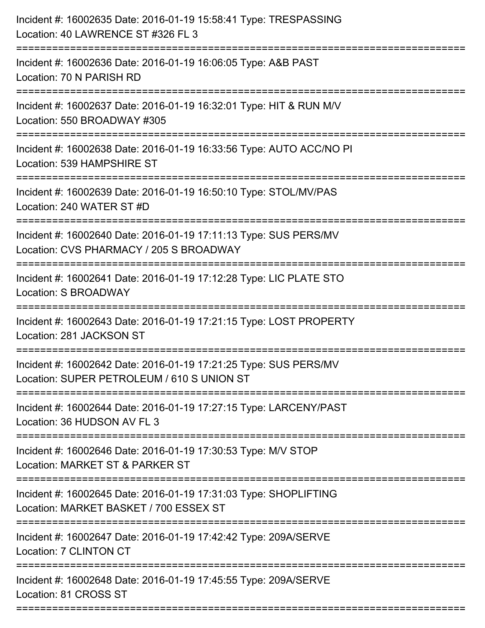| Incident #: 16002635 Date: 2016-01-19 15:58:41 Type: TRESPASSING<br>Location: 40 LAWRENCE ST #326 FL 3<br>:====================            |
|--------------------------------------------------------------------------------------------------------------------------------------------|
| Incident #: 16002636 Date: 2016-01-19 16:06:05 Type: A&B PAST<br>Location: 70 N PARISH RD                                                  |
| Incident #: 16002637 Date: 2016-01-19 16:32:01 Type: HIT & RUN M/V<br>Location: 550 BROADWAY #305<br>===================================== |
| Incident #: 16002638 Date: 2016-01-19 16:33:56 Type: AUTO ACC/NO PI<br>Location: 539 HAMPSHIRE ST                                          |
| Incident #: 16002639 Date: 2016-01-19 16:50:10 Type: STOL/MV/PAS<br>Location: 240 WATER ST #D                                              |
| Incident #: 16002640 Date: 2016-01-19 17:11:13 Type: SUS PERS/MV<br>Location: CVS PHARMACY / 205 S BROADWAY                                |
| Incident #: 16002641 Date: 2016-01-19 17:12:28 Type: LIC PLATE STO<br>Location: S BROADWAY                                                 |
| Incident #: 16002643 Date: 2016-01-19 17:21:15 Type: LOST PROPERTY<br>Location: 281 JACKSON ST                                             |
| Incident #: 16002642 Date: 2016-01-19 17:21:25 Type: SUS PERS/MV<br>Location: SUPER PETROLEUM / 610 S UNION ST                             |
| Incident #: 16002644 Date: 2016-01-19 17:27:15 Type: LARCENY/PAST<br>Location: 36 HUDSON AV FL 3                                           |
| Incident #: 16002646 Date: 2016-01-19 17:30:53 Type: M/V STOP<br>Location: MARKET ST & PARKER ST                                           |
| Incident #: 16002645 Date: 2016-01-19 17:31:03 Type: SHOPLIFTING<br>Location: MARKET BASKET / 700 ESSEX ST                                 |
| Incident #: 16002647 Date: 2016-01-19 17:42:42 Type: 209A/SERVE<br>Location: 7 CLINTON CT                                                  |
| Incident #: 16002648 Date: 2016-01-19 17:45:55 Type: 209A/SERVE<br>Location: 81 CROSS ST                                                   |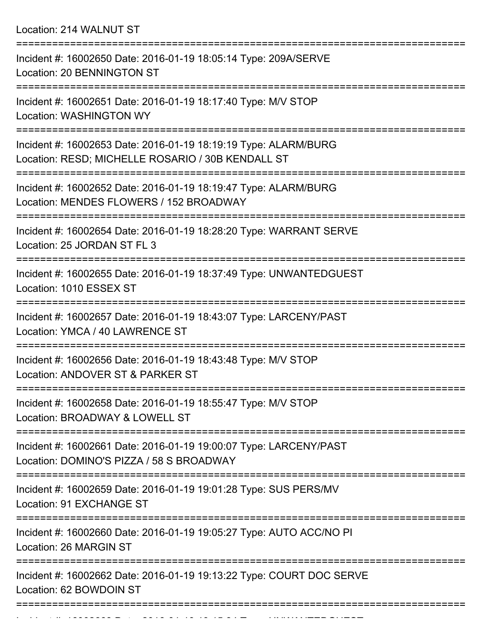Location: 214 WALNUT ST

| Incident #: 16002650 Date: 2016-01-19 18:05:14 Type: 209A/SERVE<br>Location: 20 BENNINGTON ST                        |
|----------------------------------------------------------------------------------------------------------------------|
| Incident #: 16002651 Date: 2016-01-19 18:17:40 Type: M/V STOP<br><b>Location: WASHINGTON WY</b>                      |
| Incident #: 16002653 Date: 2016-01-19 18:19:19 Type: ALARM/BURG<br>Location: RESD; MICHELLE ROSARIO / 30B KENDALL ST |
| Incident #: 16002652 Date: 2016-01-19 18:19:47 Type: ALARM/BURG<br>Location: MENDES FLOWERS / 152 BROADWAY           |
| Incident #: 16002654 Date: 2016-01-19 18:28:20 Type: WARRANT SERVE<br>Location: 25 JORDAN ST FL 3                    |
| Incident #: 16002655 Date: 2016-01-19 18:37:49 Type: UNWANTEDGUEST<br>Location: 1010 ESSEX ST                        |
| Incident #: 16002657 Date: 2016-01-19 18:43:07 Type: LARCENY/PAST<br>Location: YMCA / 40 LAWRENCE ST                 |
| Incident #: 16002656 Date: 2016-01-19 18:43:48 Type: M/V STOP<br>Location: ANDOVER ST & PARKER ST                    |
| Incident #: 16002658 Date: 2016-01-19 18:55:47 Type: M/V STOP<br>Location: BROADWAY & LOWELL ST                      |
| Incident #: 16002661 Date: 2016-01-19 19:00:07 Type: LARCENY/PAST<br>Location: DOMINO'S PIZZA / 58 S BROADWAY        |
| Incident #: 16002659 Date: 2016-01-19 19:01:28 Type: SUS PERS/MV<br>Location: 91 EXCHANGE ST                         |
| Incident #: 16002660 Date: 2016-01-19 19:05:27 Type: AUTO ACC/NO PI<br>Location: 26 MARGIN ST                        |
| Incident #: 16002662 Date: 2016-01-19 19:13:22 Type: COURT DOC SERVE<br>Location: 62 BOWDOIN ST                      |
|                                                                                                                      |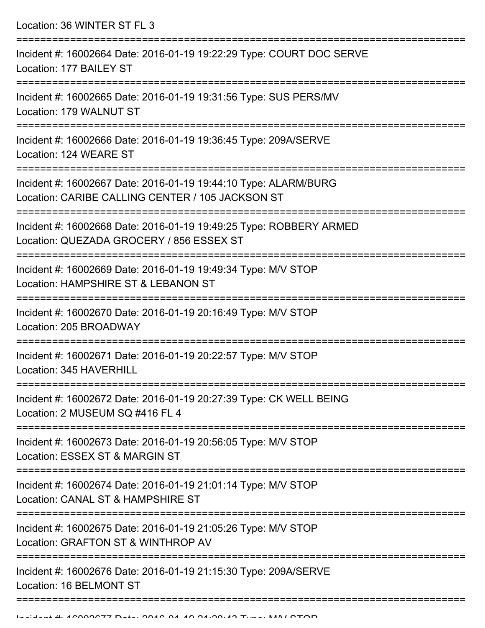| Incident #: 16002664 Date: 2016-01-19 19:22:29 Type: COURT DOC SERVE<br>Location: 177 BAILEY ST                                                              |
|--------------------------------------------------------------------------------------------------------------------------------------------------------------|
|                                                                                                                                                              |
| Incident #: 16002665 Date: 2016-01-19 19:31:56 Type: SUS PERS/MV<br>Location: 179 WALNUT ST                                                                  |
| Incident #: 16002666 Date: 2016-01-19 19:36:45 Type: 209A/SERVE<br>Location: 124 WEARE ST<br>====================================                            |
| Incident #: 16002667 Date: 2016-01-19 19:44:10 Type: ALARM/BURG<br>Location: CARIBE CALLING CENTER / 105 JACKSON ST<br>===================================== |
| Incident #: 16002668 Date: 2016-01-19 19:49:25 Type: ROBBERY ARMED<br>Location: QUEZADA GROCERY / 856 ESSEX ST                                               |
| Incident #: 16002669 Date: 2016-01-19 19:49:34 Type: M/V STOP<br>Location: HAMPSHIRE ST & LEBANON ST<br>:=====================================               |
| Incident #: 16002670 Date: 2016-01-19 20:16:49 Type: M/V STOP<br>Location: 205 BROADWAY                                                                      |
| Incident #: 16002671 Date: 2016-01-19 20:22:57 Type: M/V STOP<br>Location: 345 HAVERHILL                                                                     |
| Incident #: 16002672 Date: 2016-01-19 20:27:39 Type: CK WELL BEING<br>Location: 2 MUSEUM SQ #416 FL 4                                                        |
| Incident #: 16002673 Date: 2016-01-19 20:56:05 Type: M/V STOP<br>Location: ESSEX ST & MARGIN ST                                                              |
| Incident #: 16002674 Date: 2016-01-19 21:01:14 Type: M/V STOP<br>Location: CANAL ST & HAMPSHIRE ST                                                           |
| Incident #: 16002675 Date: 2016-01-19 21:05:26 Type: M/V STOP<br>Location: GRAFTON ST & WINTHROP AV                                                          |
| Incident #: 16002676 Date: 2016-01-19 21:15:30 Type: 209A/SERVE<br>Location: 16 BELMONT ST                                                                   |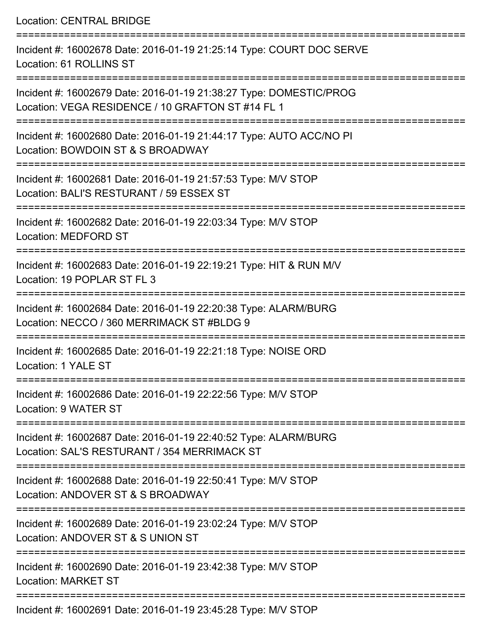Location: CENTRAL BRIDGE

| Incident #: 16002678 Date: 2016-01-19 21:25:14 Type: COURT DOC SERVE<br>Location: 61 ROLLINS ST                                            |
|--------------------------------------------------------------------------------------------------------------------------------------------|
| Incident #: 16002679 Date: 2016-01-19 21:38:27 Type: DOMESTIC/PROG<br>Location: VEGA RESIDENCE / 10 GRAFTON ST #14 FL 1<br>--------------- |
| Incident #: 16002680 Date: 2016-01-19 21:44:17 Type: AUTO ACC/NO PI<br>Location: BOWDOIN ST & S BROADWAY                                   |
| Incident #: 16002681 Date: 2016-01-19 21:57:53 Type: M/V STOP<br>Location: BALI'S RESTURANT / 59 ESSEX ST                                  |
| Incident #: 16002682 Date: 2016-01-19 22:03:34 Type: M/V STOP<br><b>Location: MEDFORD ST</b>                                               |
| Incident #: 16002683 Date: 2016-01-19 22:19:21 Type: HIT & RUN M/V<br>Location: 19 POPLAR ST FL 3                                          |
| Incident #: 16002684 Date: 2016-01-19 22:20:38 Type: ALARM/BURG<br>Location: NECCO / 360 MERRIMACK ST #BLDG 9                              |
| Incident #: 16002685 Date: 2016-01-19 22:21:18 Type: NOISE ORD<br>Location: 1 YALE ST                                                      |
| Incident #: 16002686 Date: 2016-01-19 22:22:56 Type: M/V STOP<br>Location: 9 WATER ST                                                      |
| Incident #: 16002687 Date: 2016-01-19 22:40:52 Type: ALARM/BURG<br>Location: SAL'S RESTURANT / 354 MERRIMACK ST                            |
| Incident #: 16002688 Date: 2016-01-19 22:50:41 Type: M/V STOP<br>Location: ANDOVER ST & S BROADWAY                                         |
| Incident #: 16002689 Date: 2016-01-19 23:02:24 Type: M/V STOP<br>Location: ANDOVER ST & S UNION ST                                         |
| Incident #: 16002690 Date: 2016-01-19 23:42:38 Type: M/V STOP<br><b>Location: MARKET ST</b>                                                |
| Incident #: 16002691 Date: 2016-01-19 23:45:28 Type: M/V STOP                                                                              |